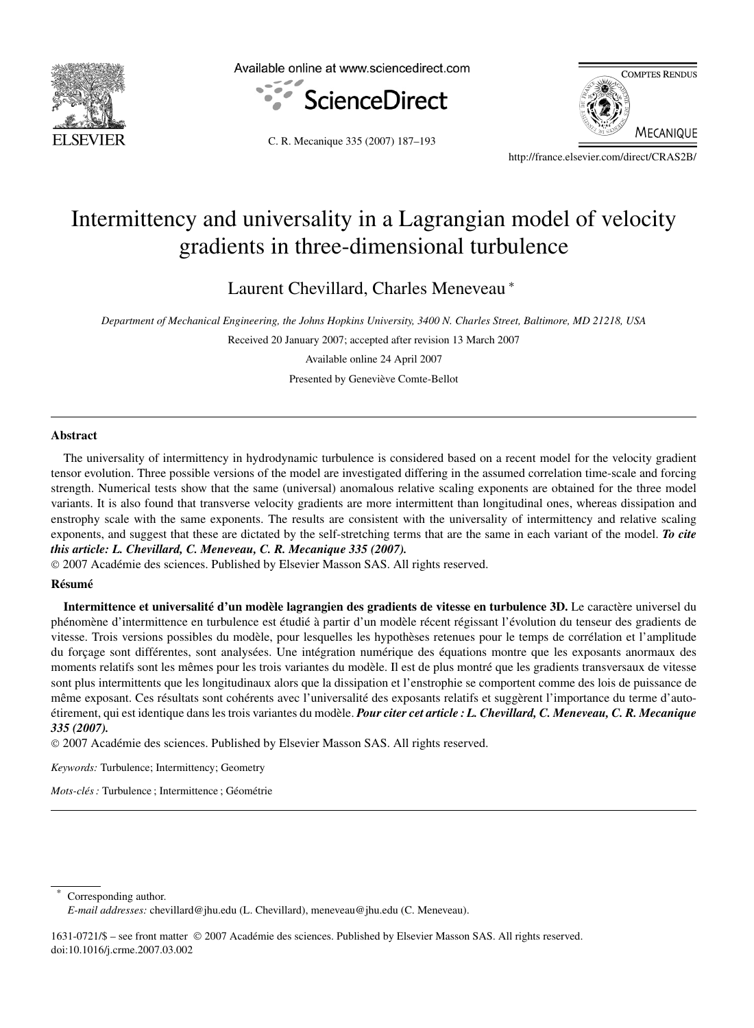

Available online at www.sciencedirect.com



**COMPTES RENDUS** MECANIQUE

C. R. Mecanique 335 (2007) 187–193

http://france.elsevier.com/direct/CRAS2B/

# Intermittency and universality in a Lagrangian model of velocity gradients in three-dimensional turbulence

Laurent Chevillard, Charles Meneveau <sup>∗</sup>

*Department of Mechanical Engineering, the Johns Hopkins University, 3400 N. Charles Street, Baltimore, MD 21218, USA*

Received 20 January 2007; accepted after revision 13 March 2007

Available online 24 April 2007

Presented by Geneviève Comte-Bellot

# **Abstract**

The universality of intermittency in hydrodynamic turbulence is considered based on a recent model for the velocity gradient tensor evolution. Three possible versions of the model are investigated differing in the assumed correlation time-scale and forcing strength. Numerical tests show that the same (universal) anomalous relative scaling exponents are obtained for the three model variants. It is also found that transverse velocity gradients are more intermittent than longitudinal ones, whereas dissipation and enstrophy scale with the same exponents. The results are consistent with the universality of intermittency and relative scaling exponents, and suggest that these are dictated by the self-stretching terms that are the same in each variant of the model. *To cite this article: L. Chevillard, C. Meneveau, C. R. Mecanique 335 (2007).*

© 2007 Académie des sciences. Published by Elsevier Masson SAS. All rights reserved.

# **Résumé**

**Intermittence et universalité d'un modèle lagrangien des gradients de vitesse en turbulence 3D.** Le caractère universel du phénomène d'intermittence en turbulence est étudié à partir d'un modèle récent régissant l'évolution du tenseur des gradients de vitesse. Trois versions possibles du modèle, pour lesquelles les hypothèses retenues pour le temps de corrélation et l'amplitude du forçage sont différentes, sont analysées. Une intégration numérique des équations montre que les exposants anormaux des moments relatifs sont les mêmes pour les trois variantes du modèle. Il est de plus montré que les gradients transversaux de vitesse sont plus intermittents que les longitudinaux alors que la dissipation et l'enstrophie se comportent comme des lois de puissance de même exposant. Ces résultats sont cohérents avec l'universalité des exposants relatifs et suggèrent l'importance du terme d'autoétirement, qui est identique dans les trois variantes du modèle. *Pour citer cet article : L. Chevillard, C. Meneveau, C. R. Mecanique 335 (2007).*

© 2007 Académie des sciences. Published by Elsevier Masson SAS. All rights reserved.

*Keywords:* Turbulence; Intermittency; Geometry

*Mots-clés :* Turbulence ; Intermittence ; Géométrie

Corresponding author.

*E-mail addresses:* chevillard@jhu.edu (L. Chevillard), meneveau@jhu.edu (C. Meneveau).

<sup>1631-0721/\$ –</sup> see front matter © 2007 Académie des sciences. Published by Elsevier Masson SAS. All rights reserved. doi:10.1016/j.crme.2007.03.002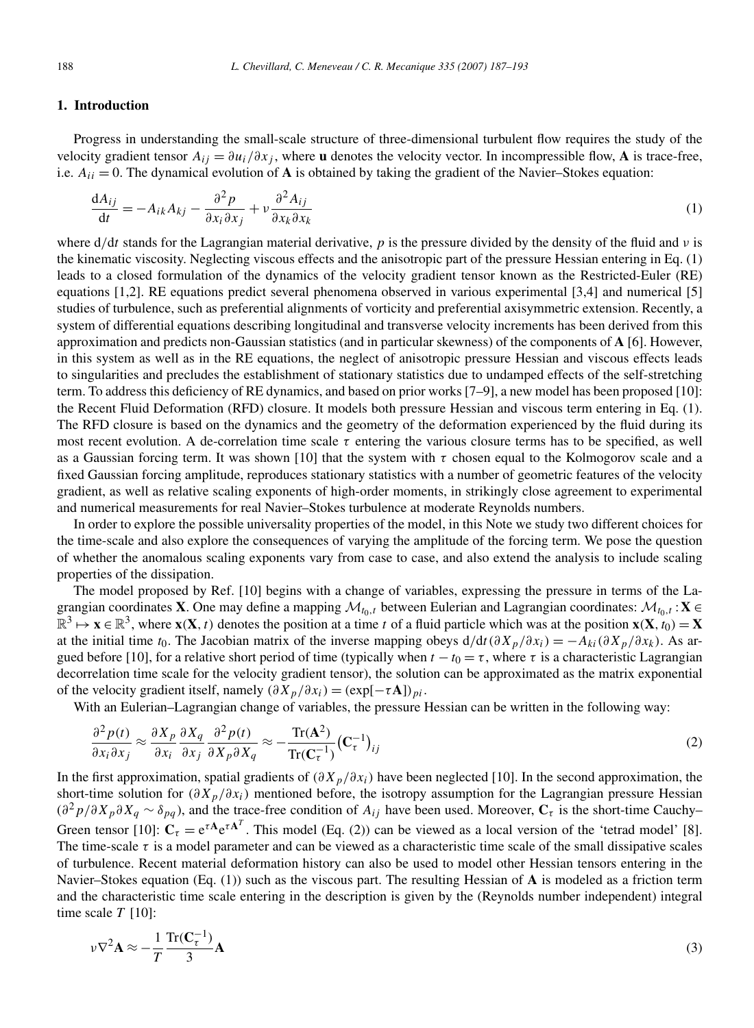#### **1. Introduction**

Progress in understanding the small-scale structure of three-dimensional turbulent flow requires the study of the velocity gradient tensor  $A_{ij} = \frac{\partial u_i}{\partial x_j}$ , where **u** denotes the velocity vector. In incompressible flow, **A** is trace-free, i.e.  $A_{ii} = 0$ . The dynamical evolution of **A** is obtained by taking the gradient of the Navier–Stokes equation:

$$
\frac{\mathrm{d}A_{ij}}{\mathrm{d}t} = -A_{ik}A_{kj} - \frac{\partial^2 p}{\partial x_i \partial x_j} + v \frac{\partial^2 A_{ij}}{\partial x_k \partial x_k} \tag{1}
$$

where d*/*d*t* stands for the Lagrangian material derivative, *p* is the pressure divided by the density of the fluid and *ν* is the kinematic viscosity. Neglecting viscous effects and the anisotropic part of the pressure Hessian entering in Eq. (1) leads to a closed formulation of the dynamics of the velocity gradient tensor known as the Restricted-Euler (RE) equations [1,2]. RE equations predict several phenomena observed in various experimental [3,4] and numerical [5] studies of turbulence, such as preferential alignments of vorticity and preferential axisymmetric extension. Recently, a system of differential equations describing longitudinal and transverse velocity increments has been derived from this approximation and predicts non-Gaussian statistics (and in particular skewness) of the components of **A** [6]. However, in this system as well as in the RE equations, the neglect of anisotropic pressure Hessian and viscous effects leads to singularities and precludes the establishment of stationary statistics due to undamped effects of the self-stretching term. To address this deficiency of RE dynamics, and based on prior works [7–9], a new model has been proposed [10]: the Recent Fluid Deformation (RFD) closure. It models both pressure Hessian and viscous term entering in Eq. (1). The RFD closure is based on the dynamics and the geometry of the deformation experienced by the fluid during its most recent evolution. A de-correlation time scale *τ* entering the various closure terms has to be specified, as well as a Gaussian forcing term. It was shown [10] that the system with *τ* chosen equal to the Kolmogorov scale and a fixed Gaussian forcing amplitude, reproduces stationary statistics with a number of geometric features of the velocity gradient, as well as relative scaling exponents of high-order moments, in strikingly close agreement to experimental and numerical measurements for real Navier–Stokes turbulence at moderate Reynolds numbers.

In order to explore the possible universality properties of the model, in this Note we study two different choices for the time-scale and also explore the consequences of varying the amplitude of the forcing term. We pose the question of whether the anomalous scaling exponents vary from case to case, and also extend the analysis to include scaling properties of the dissipation.

The model proposed by Ref. [10] begins with a change of variables, expressing the pressure in terms of the Lagrangian coordinates **X**. One may define a mapping  $\mathcal{M}_{t_0,t}$  between Eulerian and Lagrangian coordinates:  $\mathcal{M}_{t_0,t}$ : **X** ∈  $\mathbb{R}^3 \mapsto \mathbf{x} \in \mathbb{R}^3$ , where  $\mathbf{x}(\mathbf{X}, t)$  denotes the position at a time t of a fluid particle which was at the position  $\mathbf{x}(\mathbf{X}, t_0) = \mathbf{X}$ at the initial time *t*<sub>0</sub>. The Jacobian matrix of the inverse mapping obeys  $d/dt(\partial X_p/\partial x_i) = -A_{ki}(\partial X_p/\partial x_k)$ . As argued before [10], for a relative short period of time (typically when  $t - t_0 = \tau$ , where  $\tau$  is a characteristic Lagrangian decorrelation time scale for the velocity gradient tensor), the solution can be approximated as the matrix exponential of the velocity gradient itself, namely  $(\partial X_p/\partial x_i) = (\exp[-\tau \mathbf{A}])_{pi}$ .

With an Eulerian–Lagrangian change of variables, the pressure Hessian can be written in the following way:

$$
\frac{\partial^2 p(t)}{\partial x_i \partial x_j} \approx \frac{\partial X_p}{\partial x_i} \frac{\partial X_q}{\partial x_j} \frac{\partial^2 p(t)}{\partial X_p \partial X_q} \approx -\frac{\text{Tr}(\mathbf{A}^2)}{\text{Tr}(\mathbf{C}_\tau^{-1})} (\mathbf{C}_\tau^{-1})_{ij}
$$
(2)

In the first approximation, spatial gradients of *(∂Xp/∂xi)* have been neglected [10]. In the second approximation, the short-time solution for *(∂Xp/∂xi)* mentioned before, the isotropy assumption for the Lagrangian pressure Hessian (*∂*<sup>2</sup>*p/∂Xp∂Xq* <sup>∼</sup> *δpq* ), and the trace-free condition of *Aij* have been used. Moreover, **<sup>C</sup>***<sup>τ</sup>* is the short-time Cauchy– Green tensor [10]:  $C_{\tau} = e^{\tau A} e^{\tau A^{T}}$ . This model (Eq. (2)) can be viewed as a local version of the 'tetrad model' [8]. The time-scale  $\tau$  is a model parameter and can be viewed as a characteristic time scale of the small dissipative scales of turbulence. Recent material deformation history can also be used to model other Hessian tensors entering in the Navier–Stokes equation (Eq. (1)) such as the viscous part. The resulting Hessian of **A** is modeled as a friction term and the characteristic time scale entering in the description is given by the (Reynolds number independent) integral time scale  $T$  [10]:

$$
\nu \nabla^2 \mathbf{A} \approx -\frac{1}{T} \frac{\text{Tr}(\mathbf{C}_\tau^{-1})}{3} \mathbf{A} \tag{3}
$$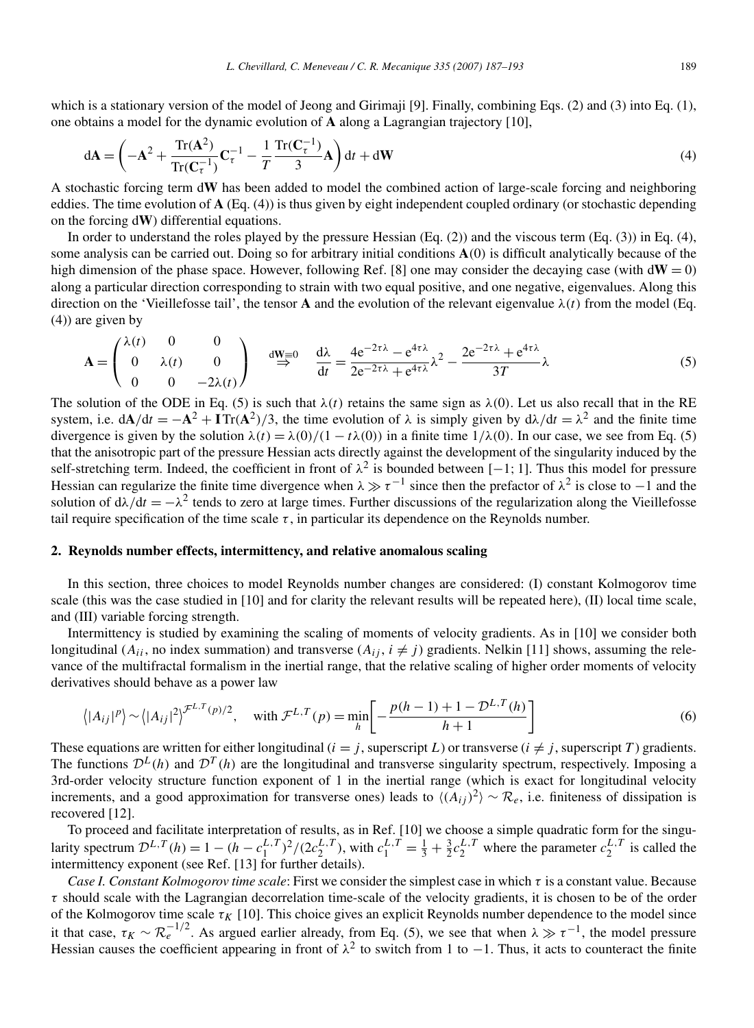which is a stationary version of the model of Jeong and Girimaji [9]. Finally, combining Eqs. (2) and (3) into Eq. (1), one obtains a model for the dynamic evolution of **A** along a Lagrangian trajectory [10],

$$
d\mathbf{A} = \left(-\mathbf{A}^2 + \frac{\text{Tr}(\mathbf{A}^2)}{\text{Tr}(\mathbf{C}_\tau^{-1})}\mathbf{C}_\tau^{-1} - \frac{1}{T}\frac{\text{Tr}(\mathbf{C}_\tau^{-1})}{3}\mathbf{A}\right)dt + d\mathbf{W}
$$
\n(4)

A stochastic forcing term d**W** has been added to model the combined action of large-scale forcing and neighboring eddies. The time evolution of **A** (Eq. (4)) is thus given by eight independent coupled ordinary (or stochastic depending on the forcing d**W**) differential equations.

In order to understand the roles played by the pressure Hessian (Eq. (2)) and the viscous term (Eq. (3)) in Eq. (4), some analysis can be carried out. Doing so for arbitrary initial conditions **A***(*0*)* is difficult analytically because of the high dimension of the phase space. However, following Ref. [8] one may consider the decaying case (with  $dW = 0$ ) along a particular direction corresponding to strain with two equal positive, and one negative, eigenvalues. Along this direction on the 'Vieillefosse tail', the tensor **A** and the evolution of the relevant eigenvalue  $\lambda(t)$  from the model (Eq. (4)) are given by

$$
\mathbf{A} = \begin{pmatrix} \lambda(t) & 0 & 0 \\ 0 & \lambda(t) & 0 \\ 0 & 0 & -2\lambda(t) \end{pmatrix} \xrightarrow{d\mathbf{W} \equiv 0} \frac{d\lambda}{dt} = \frac{4e^{-2\tau\lambda} - e^{4\tau\lambda}}{2e^{-2\tau\lambda} + e^{4\tau\lambda}} \lambda^2 - \frac{2e^{-2\tau\lambda} + e^{4\tau\lambda}}{3T} \lambda
$$
(5)

The solution of the ODE in Eq. (5) is such that  $\lambda(t)$  retains the same sign as  $\lambda(0)$ . Let us also recall that in the RE system, i.e.  $d\mathbf{A}/dt = -\mathbf{A}^2 + \mathbf{I}\text{Tr}(\mathbf{A}^2)/3$ , the time evolution of  $\lambda$  is simply given by  $d\lambda/dt = \lambda^2$  and the finite time divergence is given by the solution  $\lambda(t) = \lambda(0)/(1 - t\lambda(0))$  in a finite time  $1/\lambda(0)$ . In our case, we see from Eq. (5) that the anisotropic part of the pressure Hessian acts directly against the development of the singularity induced by the self-stretching term. Indeed, the coefficient in front of  $\lambda^2$  is bounded between [−1; 1]. Thus this model for pressure Hessian can regularize the finite time divergence when  $\lambda \gg \tau^{-1}$  since then the prefactor of  $\lambda^2$  is close to −1 and the solution of  $d\lambda/dt = -\lambda^2$  tends to zero at large times. Further discussions of the regularization along the Vieillefosse tail require specification of the time scale  $\tau$ , in particular its dependence on the Reynolds number.

### **2. Reynolds number effects, intermittency, and relative anomalous scaling**

In this section, three choices to model Reynolds number changes are considered: (I) constant Kolmogorov time scale (this was the case studied in [10] and for clarity the relevant results will be repeated here), (II) local time scale, and (III) variable forcing strength.

Intermittency is studied by examining the scaling of moments of velocity gradients. As in [10] we consider both longitudinal ( $A_{ii}$ , no index summation) and transverse ( $A_{ii}$ ,  $i \neq j$ ) gradients. Nelkin [11] shows, assuming the relevance of the multifractal formalism in the inertial range, that the relative scaling of higher order moments of velocity derivatives should behave as a power law

$$
\langle |A_{ij}|^p \rangle \sim \langle |A_{ij}|^2 \rangle^{\mathcal{F}^{L,T}(p)/2}, \quad \text{with } \mathcal{F}^{L,T}(p) = \min_h \bigg[ -\frac{p(h-1) + 1 - \mathcal{D}^{L,T}(h)}{h+1} \bigg] \tag{6}
$$

These equations are written for either longitudinal ( $i = j$ , superscript *L*) or transverse ( $i \neq j$ , superscript *T*) gradients. The functions  $\mathcal{D}^{L}(h)$  and  $\mathcal{D}^{T}(h)$  are the longitudinal and transverse singularity spectrum, respectively. Imposing a 3rd-order velocity structure function exponent of 1 in the inertial range (which is exact for longitudinal velocity increments, and a good approximation for transverse ones) leads to  $\langle (A_{ij})^2 \rangle \sim \mathcal{R}_e$ , i.e. finiteness of dissipation is recovered [12].

To proceed and facilitate interpretation of results, as in Ref. [10] we choose a simple quadratic form for the singularity spectrum  $\mathcal{D}^{L,T}(h) = 1 - (h - c_1^{L,T})^2 / (2c_2^{L,T})$ , with  $c_1^{L,T} = \frac{1}{3} + \frac{3}{2}c_2^{L,T}$  where the parameter  $c_2^{L,T}$  is called the intermittency exponent (see Ref. [13] for further details).

*Case I. Constant Kolmogorov time scale*: First we consider the simplest case in which *τ* is a constant value. Because *τ* should scale with the Lagrangian decorrelation time-scale of the velocity gradients, it is chosen to be of the order of the Kolmogorov time scale  $\tau_K$  [10]. This choice gives an explicit Reynolds number dependence to the model since it that case,  $\tau_K \sim \mathcal{R}_e^{-1/2}$ . As argued earlier already, from Eq. (5), we see that when  $\lambda \gg \tau^{-1}$ , the model pressure Hessian causes the coefficient appearing in front of  $\lambda^2$  to switch from 1 to  $-1$ . Thus, it acts to counteract the finite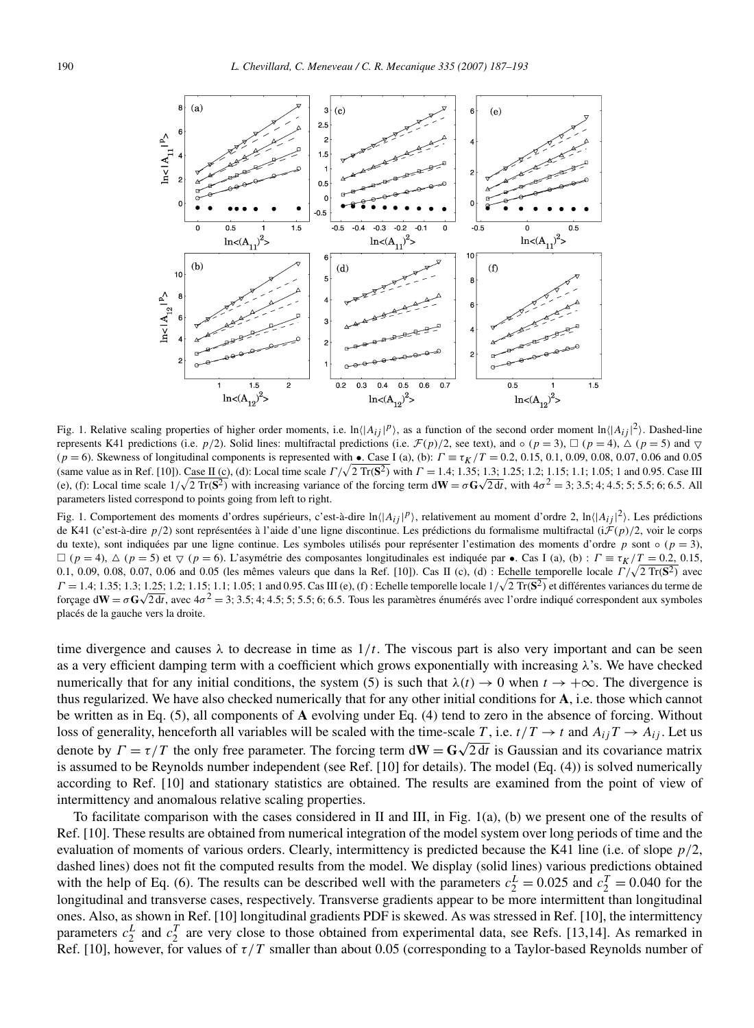

Fig. 1. Relative scaling properties of higher order moments, i.e.  $\ln(|A_{ij}|^p)$ , as a function of the second order moment  $\ln(|A_{ij}|^2)$ . Dashed-line represents K41 predictions (i.e.  $p/2$ ). Solid lines: multifractal predictions (i.e.  $\mathcal{F}(p)/2$ , see text), and ∘ (*p* = 3),  $\Box$  (*p* = 4),  $\triangle$  (*p* = 5) and  $\bigtriangledown$ (*p* = 6). Skewness of longitudinal components is represented with •. Case I (a), (b): *Γ* ≡ *τK/T* = 0*.*2, 0.15, 0.1, 0.09, 0.08, 0.07, 0.06 and 0.05 (same value as in Ref. [10]). Case II (c), (d): Local time scale *Γ/* 2 Tr*(***S**2*)* with *<sup>Γ</sup>* <sup>=</sup> <sup>1</sup>*.*4; <sup>1</sup>*.*35; 1.3; 1.25; 1.2; 1.15; 1.1; 1.05; 1 and 0.95. Case III (e), (f): Local time scale  $1/\sqrt{2 \text{ Tr}(S^2)}$  with increasing variance of the forcing term  $dW = \sigma G \sqrt{2d}t$ , with  $4\sigma^2 = 3; 3.5; 4; 4.5; 5; 5.5; 6; 6.5$ . All parameters listed correspond to points going from left to right.

Fig. 1. Comportement des moments d'ordres supérieurs, c'est-à-dire  $\ln(|A_{ij}|^p)$ , relativement au moment d'ordre 2,  $\ln(|A_{ij}|^2)$ . Les prédictions de K41 (c'est-à-dire *p/*2) sont représentées à l'aide d'une ligne discontinue. Les prédictions du formalisme multifractal (iF*(p)/*2, voir le corps du texte), sont indiquées par une ligne continue. Les symboles utilisés pour représenter l'estimation des moments d'ordre *p* sont ◦ (*p* = 3), - (*p* = 4), (*p* = 5) et (*p* = 6). L'asymétrie des composantes longitudinales est indiquée par •. Cas I (a), (b) : *Γ* ≡ *τK/T* = 0*.*2, 0.15, 0.1, 0.09, 0.08, 0.07, 0.06 and 0.05 (les mêmes valeurs que dans la Ref. [10]). Cas II (c), (d) : Echelle temporelle locale  $\Gamma/\sqrt{2 \text{ Tr}(S^2)}$  avec  $\Gamma = 1.4; 1.35; 1.3; 1.25; 1.2; 1.15; 1.1; 1.05; 1$  and 0.95. Cas III (e), (f) : Echelle temporelle locale  $1/\sqrt{2 \text{ Tr}(S^2)}$  et différentes variances du terme de forçage  $dW = \sigma G \sqrt{2} dt$ , avec  $4\sigma^2 = 3$ ; 3.5; 4; 4.5; 5; 5.5; 6; 6.5. Tous les paramètres énumérés avec l'ordre indiqué correspondent aux symboles placés de la gauche vers la droite.

time divergence and causes  $\lambda$  to decrease in time as  $1/t$ . The viscous part is also very important and can be seen as a very efficient damping term with a coefficient which grows exponentially with increasing *λ*'s. We have checked numerically that for any initial conditions, the system (5) is such that  $\lambda(t) \to 0$  when  $t \to +\infty$ . The divergence is thus regularized. We have also checked numerically that for any other initial conditions for **A**, i.e. those which cannot be written as in Eq. (5), all components of **A** evolving under Eq. (4) tend to zero in the absence of forcing. Without loss of generality, henceforth all variables will be scaled with the time-scale *T*, i.e.  $t/T \rightarrow t$  and  $A_{ij}T \rightarrow A_{ij}$ . Let us denote by  $\Gamma = \tau/T$  the only free parameter. The forcing term  $d\mathbf{W} = \mathbf{G}\sqrt{2 dt}$  is Gaussian and its covariance matrix is assumed to be Reynolds number independent (see Ref. [10] for details). The model (Eq. (4)) is solved numerically according to Ref. [10] and stationary statistics are obtained. The results are examined from the point of view of intermittency and anomalous relative scaling properties.

To facilitate comparison with the cases considered in II and III, in Fig. 1(a), (b) we present one of the results of Ref. [10]. These results are obtained from numerical integration of the model system over long periods of time and the evaluation of moments of various orders. Clearly, intermittency is predicted because the K41 line (i.e. of slope *p/*2, dashed lines) does not fit the computed results from the model. We display (solid lines) various predictions obtained with the help of Eq. (6). The results can be described well with the parameters  $c_2^L = 0.025$  and  $c_2^T = 0.040$  for the longitudinal and transverse cases, respectively. Transverse gradients appear to be more intermittent than longitudinal ones. Also, as shown in Ref. [10] longitudinal gradients PDF is skewed. As was stressed in Ref. [10], the intermittency parameters  $c_2^L$  and  $c_2^T$  are very close to those obtained from experimental data, see Refs. [13,14]. As remarked in Ref. [10], however, for values of *τ/T* smaller than about 0.05 (corresponding to a Taylor-based Reynolds number of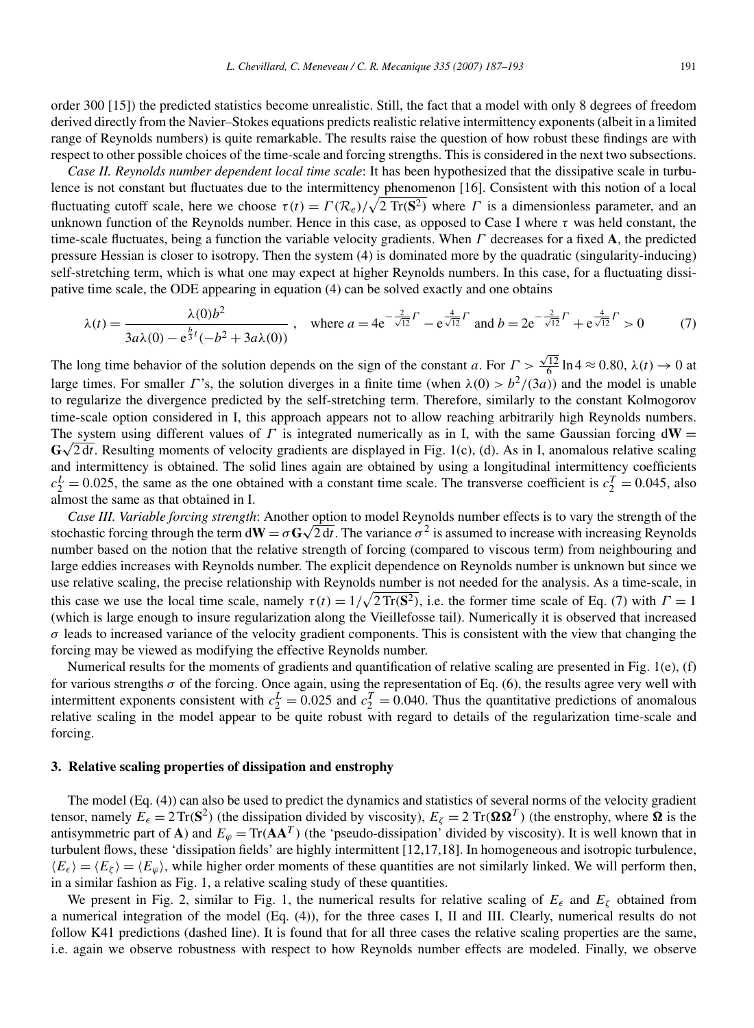order 300 [15]) the predicted statistics become unrealistic. Still, the fact that a model with only 8 degrees of freedom derived directly from the Navier–Stokes equations predicts realistic relative intermittency exponents (albeit in a limited range of Reynolds numbers) is quite remarkable. The results raise the question of how robust these findings are with respect to other possible choices of the time-scale and forcing strengths. This is considered in the next two subsections.

*Case II. Reynolds number dependent local time scale*: It has been hypothesized that the dissipative scale in turbulence is not constant but fluctuates due to the intermittency phenomenon [16]. Consistent with this notion of a local fluctuating cutoff scale, here we choose  $\tau(t) = \Gamma(\mathcal{R}_e)/\sqrt{2 \text{ Tr}(S^2)}$  where *Γ* is a dimensionless parameter, and an unknown function of the Reynolds number. Hence in this case, as opposed to Case I where *τ* was held constant, the time-scale fluctuates, being a function the variable velocity gradients. When *Γ* decreases for a fixed **A**, the predicted pressure Hessian is closer to isotropy. Then the system (4) is dominated more by the quadratic (singularity-inducing) self-stretching term, which is what one may expect at higher Reynolds numbers. In this case, for a fluctuating dissipative time scale, the ODE appearing in equation (4) can be solved exactly and one obtains

$$
\lambda(t) = \frac{\lambda(0)b^2}{3a\lambda(0) - e^{\frac{b}{3}t}(-b^2 + 3a\lambda(0))}, \quad \text{where } a = 4e^{-\frac{2}{\sqrt{12}}\Gamma} - e^{\frac{4}{\sqrt{12}}\Gamma} \text{ and } b = 2e^{-\frac{2}{\sqrt{12}}\Gamma} + e^{\frac{4}{\sqrt{12}}\Gamma} > 0 \tag{7}
$$

The long time behavior of the solution depends on the sign of the constant *a*. For  $\Gamma > \frac{\sqrt{12}}{6} \ln 4 \approx 0.80$ ,  $\lambda(t) \to 0$  at large times. For smaller *Γ*'s, the solution diverges in a finite time (when  $\lambda(0) > b^2/(3a)$ ) and the model is unable to regularize the divergence predicted by the self-stretching term. Therefore, similarly to the constant Kolmogorov time-scale option considered in I, this approach appears not to allow reaching arbitrarily high Reynolds numbers. The system using different values of *Γ* is integrated numerically as in I, with the same Gaussian forcing d**W** =  $G\sqrt{2}dt$ . Resulting moments of velocity gradients are displayed in Fig. 1(c), (d). As in I, anomalous relative scaling  $\sqrt{2}dt$ . and intermittency is obtained. The solid lines again are obtained by using a longitudinal intermittency coefficients  $c_2^L = 0.025$ , the same as the one obtained with a constant time scale. The transverse coefficient is  $c_2^T = 0.045$ , also almost the same as that obtained in I.

*Case III. Variable forcing strength*: Another option to model Reynolds number effects is to vary the strength of the stochastic forcing through the term  $dW = \sigma G \sqrt{2} dt$ . The variance  $\sigma^2$  is assumed to increase with increasing Reynolds number based on the notion that the relative strength of forcing (compared to viscous term) from neighbouring and large eddies increases with Reynolds number. The explicit dependence on Reynolds number is unknown but since we use relative scaling, the precise relationship with Reynolds number is not needed for the analysis. As a time-scale, in this case we use the local time scale, namely  $\tau(t) = 1/\sqrt{2 \text{Tr}(S^2)}$ , i.e. the former time scale of Eq. (7) with  $\Gamma = 1$ (which is large enough to insure regularization along the Vieillefosse tail). Numerically it is observed that increased  $\sigma$  leads to increased variance of the velocity gradient components. This is consistent with the view that changing the forcing may be viewed as modifying the effective Reynolds number.

Numerical results for the moments of gradients and quantification of relative scaling are presented in Fig. 1(e), (f) for various strengths  $\sigma$  of the forcing. Once again, using the representation of Eq. (6), the results agree very well with intermittent exponents consistent with  $c_2^L = 0.025$  and  $c_2^T = 0.040$ . Thus the quantitative predictions of anomalous relative scaling in the model appear to be quite robust with regard to details of the regularization time-scale and forcing.

#### **3. Relative scaling properties of dissipation and enstrophy**

The model (Eq. (4)) can also be used to predict the dynamics and statistics of several norms of the velocity gradient tensor, namely  $E_{\epsilon} = 2 \text{Tr}(\mathbf{S}^2)$  (the dissipation divided by viscosity),  $E_{\zeta} = 2 \text{Tr}(\mathbf{\Omega} \mathbf{\Omega}^T)$  (the enstrophy, where  $\mathbf{\Omega}$  is the antisymmetric part of **A**) and  $E_{\varphi} = \text{Tr}(\mathbf{A}\mathbf{A}^T)$  (the 'pseudo-dissipation' divided by viscosity). It is well known that in turbulent flows, these 'dissipation fields' are highly intermittent [12,17,18]. In homogeneous and isotropic turbulence,  $\langle E_{\epsilon} \rangle = \langle E_{\zeta} \rangle = \langle E_{\varphi} \rangle$ , while higher order moments of these quantities are not similarly linked. We will perform then, in a similar fashion as Fig. 1, a relative scaling study of these quantities.

We present in Fig. 2, similar to Fig. 1, the numerical results for relative scaling of  $E_\epsilon$  and  $E_\zeta$  obtained from a numerical integration of the model (Eq. (4)), for the three cases I, II and III. Clearly, numerical results do not follow K41 predictions (dashed line). It is found that for all three cases the relative scaling properties are the same, i.e. again we observe robustness with respect to how Reynolds number effects are modeled. Finally, we observe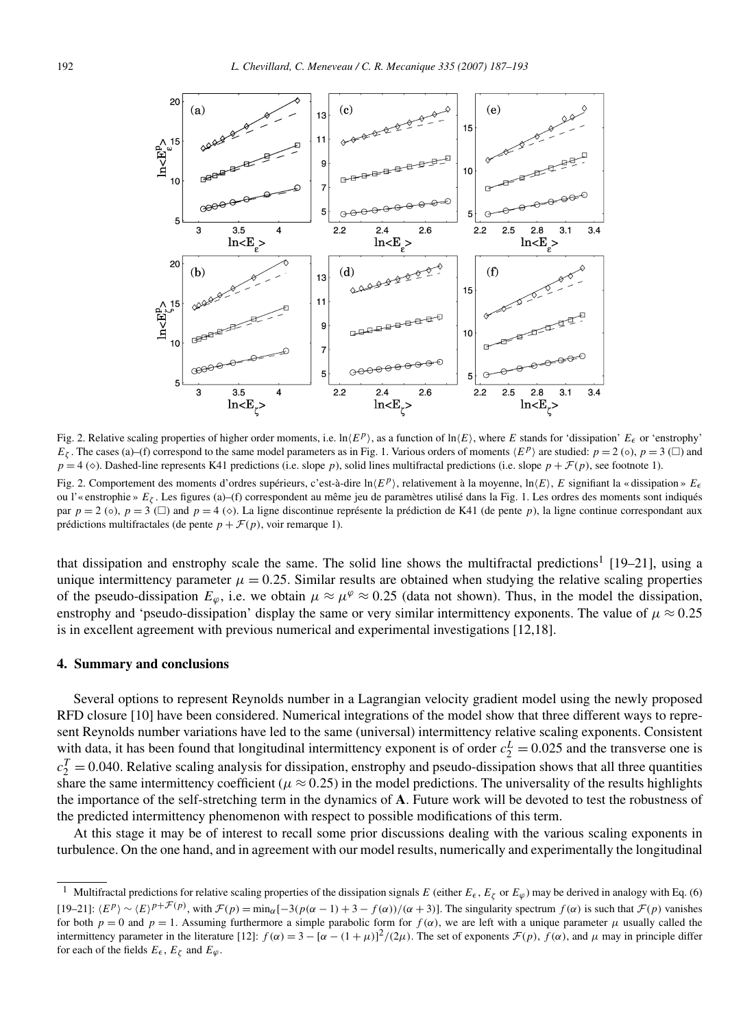

Fig. 2. Relative scaling properties of higher order moments, i.e.  $\ln(E^p)$ , as a function of  $\ln(E)$ , where *E* stands for 'dissipation'  $E_\epsilon$  or 'enstrophy' *E*<sub>*f*</sub>. The cases (a)–(f) correspond to the same model parameters as in Fig. 1. Various orders of moments  $\langle E^p \rangle$  are studied:  $p = 2$  ( $\circ$ ),  $p = 3$  ( $\Box$ ) and  $p = 4 \, (\diamond)$ . Dashed-line represents K41 predictions (i.e. slope *p*), solid lines multifractal predictions (i.e. slope  $p + \mathcal{F}(p)$ , see footnote 1). Fig. 2. Comportement des moments d'ordres supérieurs, c'est-à-dire  $\ln(E^p)$ , relativement à la moyenne,  $\ln(E)$ , E signifiant la « dissipation »  $E<sub>\epsilon</sub>$ ou l'« enstrophie » *Eζ* . Les figures (a)–(f) correspondent au même jeu de paramètres utilisé dans la Fig. 1. Les ordres des moments sont indiqués par  $p = 2$  (o),  $p = 3$  ( $\Box$ ) and  $p = 4$  ( $\diamond$ ). La ligne discontinue représente la prédiction de K41 (de pente  $p$ ), la ligne continue correspondant aux prédictions multifractales (de pente  $p + \mathcal{F}(p)$ , voir remarque 1).

that dissipation and enstrophy scale the same. The solid line shows the multifractal predictions<sup>1</sup> [19–21], using a unique intermittency parameter  $\mu = 0.25$ . Similar results are obtained when studying the relative scaling properties of the pseudo-dissipation  $E_\varphi$ , i.e. we obtain  $\mu \approx \mu^\varphi \approx 0.25$  (data not shown). Thus, in the model the dissipation, enstrophy and 'pseudo-dissipation' display the same or very similar intermittency exponents. The value of  $\mu \approx 0.25$ is in excellent agreement with previous numerical and experimental investigations [12,18].

# **4. Summary and conclusions**

Several options to represent Reynolds number in a Lagrangian velocity gradient model using the newly proposed RFD closure [10] have been considered. Numerical integrations of the model show that three different ways to represent Reynolds number variations have led to the same (universal) intermittency relative scaling exponents. Consistent with data, it has been found that longitudinal intermittency exponent is of order  $c_2^L = 0.025$  and the transverse one is  $c_2^T = 0.040$ . Relative scaling analysis for dissipation, enstrophy and pseudo-dissipation shows that all three quantities share the same intermittency coefficient ( $\mu \approx 0.25$ ) in the model predictions. The universality of the results highlights the importance of the self-stretching term in the dynamics of **A**. Future work will be devoted to test the robustness of the predicted intermittency phenomenon with respect to possible modifications of this term.

At this stage it may be of interest to recall some prior discussions dealing with the various scaling exponents in turbulence. On the one hand, and in agreement with our model results, numerically and experimentally the longitudinal

<sup>&</sup>lt;sup>1</sup> Multifractal predictions for relative scaling properties of the dissipation signals *E* (either  $E_\epsilon$ ,  $E_\zeta$  or  $E_\varphi$ ) may be derived in analogy with Eq. (6)  $[19-21]$ :  $(E^p) \sim (E)^{p+\mathcal{F}(p)}$ , with  $\mathcal{F}(p) = \min_{\alpha} [-3(p(\alpha-1)+3-f(\alpha))/(\alpha+3)]$ . The singularity spectrum  $f(\alpha)$  is such that  $\mathcal{F}(p)$  vanishes for both  $p = 0$  and  $p = 1$ . Assuming furthermore a simple parabolic form for  $f(\alpha)$ , we are left with a unique parameter  $\mu$  usually called the intermittency parameter in the literature [12]:  $f(\alpha) = 3 - [\alpha - (1 + \mu)]^2/(2\mu)$ . The set of exponents  $\mathcal{F}(p)$ ,  $f(\alpha)$ , and  $\mu$  may in principle differ for each of the fields  $E_{\epsilon}$ ,  $E_{\zeta}$  and  $E_{\varphi}$ .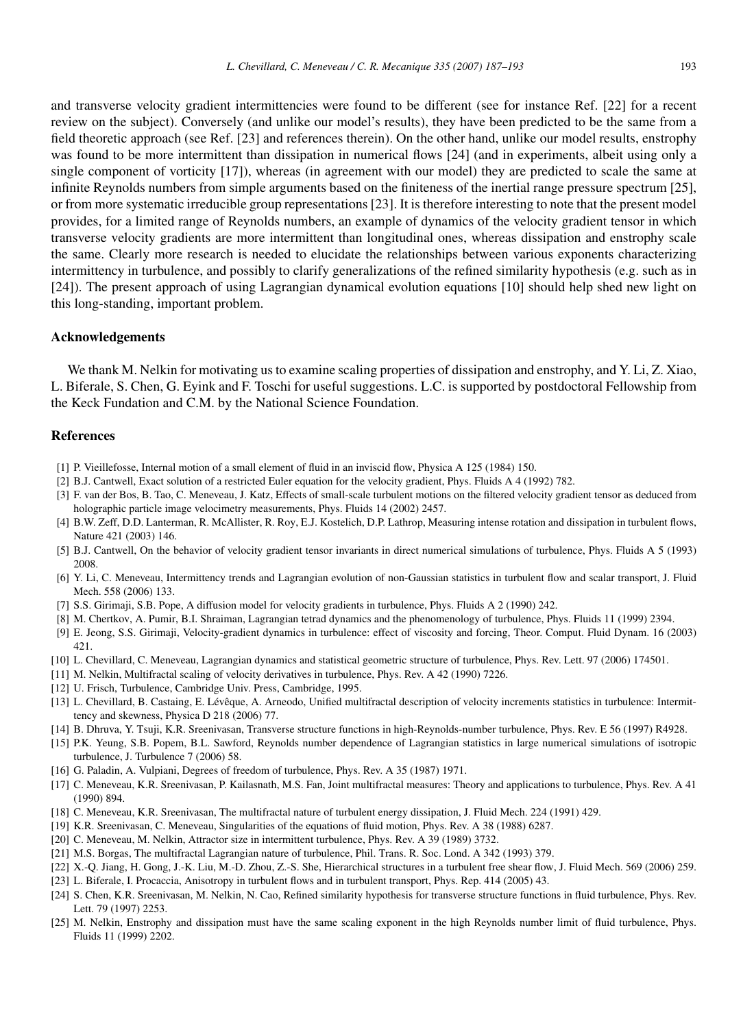and transverse velocity gradient intermittencies were found to be different (see for instance Ref. [22] for a recent review on the subject). Conversely (and unlike our model's results), they have been predicted to be the same from a field theoretic approach (see Ref. [23] and references therein). On the other hand, unlike our model results, enstrophy was found to be more intermittent than dissipation in numerical flows [24] (and in experiments, albeit using only a single component of vorticity [17]), whereas (in agreement with our model) they are predicted to scale the same at infinite Reynolds numbers from simple arguments based on the finiteness of the inertial range pressure spectrum [25], or from more systematic irreducible group representations [23]. It is therefore interesting to note that the present model provides, for a limited range of Reynolds numbers, an example of dynamics of the velocity gradient tensor in which transverse velocity gradients are more intermittent than longitudinal ones, whereas dissipation and enstrophy scale the same. Clearly more research is needed to elucidate the relationships between various exponents characterizing intermittency in turbulence, and possibly to clarify generalizations of the refined similarity hypothesis (e.g. such as in [24]). The present approach of using Lagrangian dynamical evolution equations [10] should help shed new light on this long-standing, important problem.

# **Acknowledgements**

We thank M. Nelkin for motivating us to examine scaling properties of dissipation and enstrophy, and Y. Li, Z. Xiao, L. Biferale, S. Chen, G. Eyink and F. Toschi for useful suggestions. L.C. is supported by postdoctoral Fellowship from the Keck Fundation and C.M. by the National Science Foundation.

#### **References**

- [1] P. Vieillefosse, Internal motion of a small element of fluid in an inviscid flow, Physica A 125 (1984) 150.
- [2] B.J. Cantwell, Exact solution of a restricted Euler equation for the velocity gradient, Phys. Fluids A 4 (1992) 782.
- [3] F. van der Bos, B. Tao, C. Meneveau, J. Katz, Effects of small-scale turbulent motions on the filtered velocity gradient tensor as deduced from holographic particle image velocimetry measurements, Phys. Fluids 14 (2002) 2457.
- [4] B.W. Zeff, D.D. Lanterman, R. McAllister, R. Roy, E.J. Kostelich, D.P. Lathrop, Measuring intense rotation and dissipation in turbulent flows, Nature 421 (2003) 146.
- [5] B.J. Cantwell, On the behavior of velocity gradient tensor invariants in direct numerical simulations of turbulence, Phys. Fluids A 5 (1993) 2008.
- [6] Y. Li, C. Meneveau, Intermittency trends and Lagrangian evolution of non-Gaussian statistics in turbulent flow and scalar transport, J. Fluid Mech. 558 (2006) 133.
- [7] S.S. Girimaji, S.B. Pope, A diffusion model for velocity gradients in turbulence, Phys. Fluids A 2 (1990) 242.
- [8] M. Chertkov, A. Pumir, B.I. Shraiman, Lagrangian tetrad dynamics and the phenomenology of turbulence, Phys. Fluids 11 (1999) 2394.
- [9] E. Jeong, S.S. Girimaji, Velocity-gradient dynamics in turbulence: effect of viscosity and forcing, Theor. Comput. Fluid Dynam. 16 (2003) 421.
- [10] L. Chevillard, C. Meneveau, Lagrangian dynamics and statistical geometric structure of turbulence, Phys. Rev. Lett. 97 (2006) 174501.
- [11] M. Nelkin, Multifractal scaling of velocity derivatives in turbulence, Phys. Rev. A 42 (1990) 7226.
- [12] U. Frisch, Turbulence, Cambridge Univ. Press, Cambridge, 1995.
- [13] L. Chevillard, B. Castaing, E. Lévêque, A. Arneodo, Unified multifractal description of velocity increments statistics in turbulence: Intermittency and skewness, Physica D 218 (2006) 77.
- [14] B. Dhruva, Y. Tsuji, K.R. Sreenivasan, Transverse structure functions in high-Reynolds-number turbulence, Phys. Rev. E 56 (1997) R4928.
- [15] P.K. Yeung, S.B. Popem, B.L. Sawford, Reynolds number dependence of Lagrangian statistics in large numerical simulations of isotropic turbulence, J. Turbulence 7 (2006) 58.
- [16] G. Paladin, A. Vulpiani, Degrees of freedom of turbulence, Phys. Rev. A 35 (1987) 1971.
- [17] C. Meneveau, K.R. Sreenivasan, P. Kailasnath, M.S. Fan, Joint multifractal measures: Theory and applications to turbulence, Phys. Rev. A 41 (1990) 894.
- [18] C. Meneveau, K.R. Sreenivasan, The multifractal nature of turbulent energy dissipation, J. Fluid Mech. 224 (1991) 429.
- [19] K.R. Sreenivasan, C. Meneveau, Singularities of the equations of fluid motion, Phys. Rev. A 38 (1988) 6287.
- [20] C. Meneveau, M. Nelkin, Attractor size in intermittent turbulence, Phys. Rev. A 39 (1989) 3732.
- [21] M.S. Borgas, The multifractal Lagrangian nature of turbulence, Phil. Trans. R. Soc. Lond. A 342 (1993) 379.
- [22] X.-Q. Jiang, H. Gong, J.-K. Liu, M.-D. Zhou, Z.-S. She, Hierarchical structures in a turbulent free shear flow, J. Fluid Mech. 569 (2006) 259.
- [23] L. Biferale, I. Procaccia, Anisotropy in turbulent flows and in turbulent transport, Phys. Rep. 414 (2005) 43.
- [24] S. Chen, K.R. Sreenivasan, M. Nelkin, N. Cao, Refined similarity hypothesis for transverse structure functions in fluid turbulence, Phys. Rev. Lett. 79 (1997) 2253.
- [25] M. Nelkin, Enstrophy and dissipation must have the same scaling exponent in the high Reynolds number limit of fluid turbulence, Phys. Fluids 11 (1999) 2202.